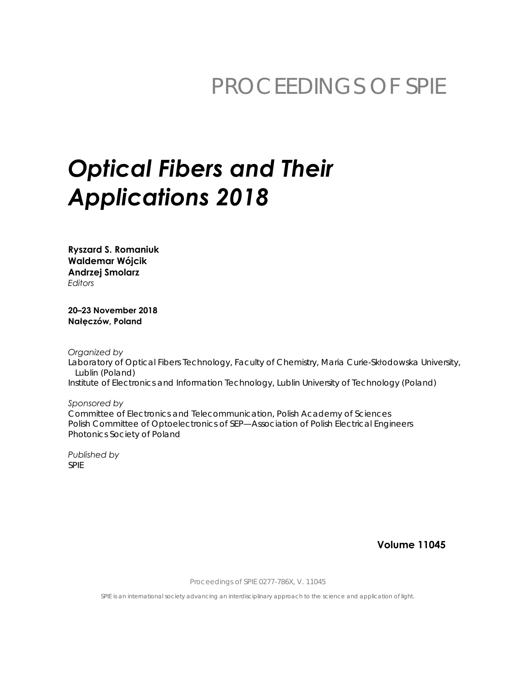## PROCEEDINGS OF SPIE

# **Optical Fibers and Their Applications 2018**

**Ryszard S. Romaniuk Waldemar Wójcik Andrzej Smolarz Fditors** 

20-23 November 2018 Nałęczów, Poland

Organized by Laboratory of Optical Fibers Technology, Faculty of Chemistry, Maria Curie-Skłodowska University, Lublin (Poland) Institute of Electronics and Information Technology, Lublin University of Technology (Poland)

Sponsored by Committee of Electronics and Telecommunication, Polish Academy of Sciences Polish Committee of Optoelectronics of SEP-Association of Polish Electrical Engineers Photonics Society of Poland

Published by **SPIE** 

**Volume 11045** 

Proceedings of SPIE 0277-786X, V. 11045

SPIE is an international society advancing an interdisciplinary approach to the science and application of light.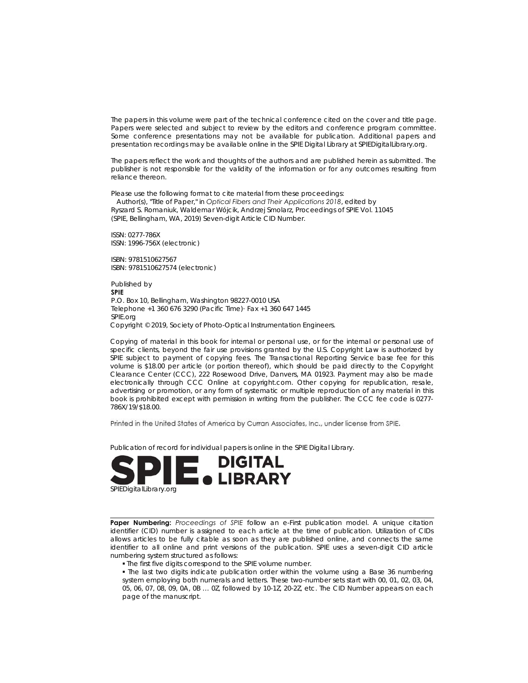The papers in this volume were part of the technical conference cited on the cover and title page. Papers were selected and subject to review by the editors and conference program committee. Some conference presentations may not be available for publication. Additional papers and presentation recordings may be available online in the SPIE Digital Library at SPIEDigitalLibrary.org.

The papers reflect the work and thoughts of the authors and are published herein as submitted. The publisher is not responsible for the validity of the information or for any outcomes resulting from reliance thereon.

Please use the following format to cite material from these proceedings:

Author(s), "Title of Paper," in Optical Fibers and Their Applications 2018, edited by Ryszard S. Romaniuk, Waldemar Wójcik, Andrzej Smolarz, Proceedings of SPIE Vol. 11045 (SPIE, Bellingham, WA, 2019) Seven-digit Article CID Number.

ISSN: 0277-786X ISSN: 1996-756X (electronic)

ISBN: 9781510627567 ISBN: 9781510627574 (electronic)

Published by **SPIE** P.O. Box 10, Bellingham, Washington 98227-0010 USA Telephone +1 360 676 3290 (Pacific Time) Fax +1 360 647 1445 SPIE.org Copyright © 2019, Society of Photo-Optical Instrumentation Engineers.

Copying of material in this book for internal or personal use, or for the internal or personal use of specific clients, beyond the fair use provisions granted by the U.S. Copyright Law is authorized by SPIE subject to payment of copying fees. The Transactional Reporting Service base fee for this volume is \$18.00 per article (or portion thereof), which should be paid directly to the Copyright Clearance Center (CCC), 222 Rosewood Drive, Danvers, MA 01923. Payment may also be made electronically through CCC Online at copyright.com. Other copying for republication, resale, advertising or promotion, or any form of systematic or multiple reproduction of any material in this book is prohibited except with permission in writing from the publisher. The CCC fee code is 0277-786X/19/\$18.00.

Printed in the United States of America by Curran Associates, Inc., under license from SPIE.

Publication of record for individual papers is online in the SPIE Digital Library.



Paper Numbering: Proceedings of SPIE follow an e-First publication model. A unique citation identifier (CID) number is assigned to each article at the time of publication. Utilization of CIDs allows articles to be fully citable as soon as they are published online, and connects the same identifier to all online and print versions of the publication. SPIE uses a seven-digit CID article numbering system structured as follows:

- . The first five digits correspond to the SPIE volume number.
- . The last two digits indicate publication order within the volume using a Base 36 numbering system employing both numerals and letters. These two-number sets start with 00, 01, 02, 03, 04, 05, 06, 07, 08, 09, 0A, 0B ... 0Z, followed by 10-1Z, 20-2Z, etc. The CID Number appears on each page of the manuscript.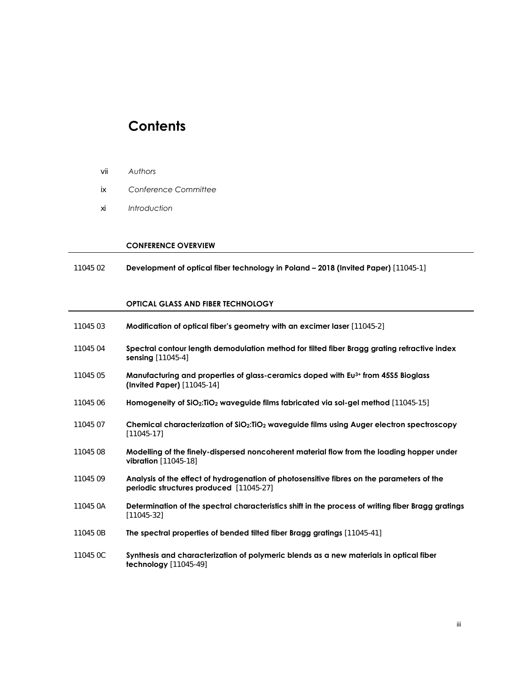### **Contents**

- vii *Authors*
- ix *Conference Committee*
- xi *Introduction*

#### **CONFERENCE OVERVIEW**

11045 02 **Development of optical fiber technology in Poland – 2018 (Invited Paper)** [11045-1]

#### **OPTICAL GLASS AND FIBER TECHNOLOGY**

| 11045 03 | Modification of optical fiber's geometry with an excimer laser [11045-2]                                                                    |
|----------|---------------------------------------------------------------------------------------------------------------------------------------------|
| 11045 04 | Spectral contour length demodulation method for tilted fiber Bragg grating refractive index<br><b>sensing</b> $[11045-4]$                   |
| 11045 05 | Manufacturing and properties of glass-ceramics doped with Eu <sup>3+</sup> from 45S5 Bioglass<br>(Invited Paper) $[11045-14]$               |
| 11045 06 | Homogeneity of $SiO_2$ : TiO <sub>2</sub> waveguide films fabricated via sol-gel method [11045-15]                                          |
| 11045 07 | Chemical characterization of SiO2:TiO2 waveguide films using Auger electron spectroscopy<br>$[11045-17]$                                    |
| 11045 08 | Modelling of the finely-dispersed noncoherent material flow from the loading hopper under<br><b>vibration</b> $[11045-18]$                  |
| 11045 09 | Analysis of the effect of hydrogenation of photosensitive fibres on the parameters of the<br><b>periodic structures produced</b> [11045-27] |
| 11045 0A | Determination of the spectral characteristics shift in the process of writing fiber Bragg gratings<br>$[11045-32]$                          |
| 11045 OB | The spectral properties of bended tilted fiber Bragg gratings [11045-41]                                                                    |
| 11045 OC | Synthesis and characterization of polymeric blends as a new materials in optical fiber<br>$\text{technology}$ [11045-49]                    |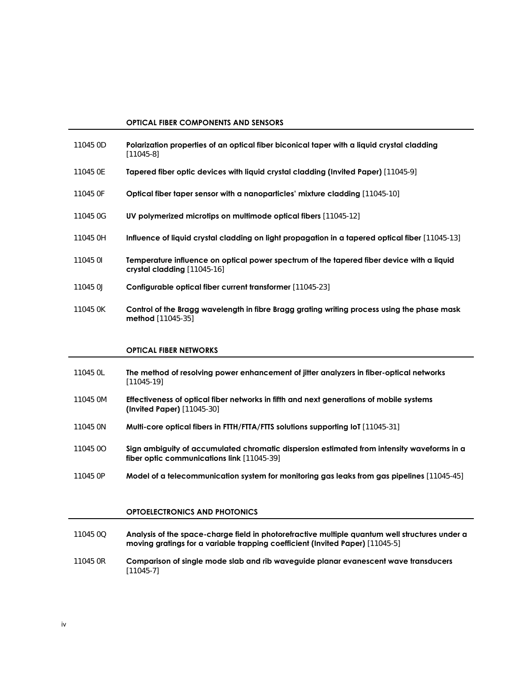#### **OPTICAL FIBER COMPONENTS AND SENSORS**

| 11045 OD | Polarization properties of an optical fiber biconical taper with a liquid crystal cladding<br>$[11045-8]$                 |
|----------|---------------------------------------------------------------------------------------------------------------------------|
| 11045 OE | <b>Tapered fiber optic devices with liquid crystal cladding (Invited Paper)</b> [11045-9]                                 |
| 11045 OF | <b>Optical fiber taper sensor with a nanoparticles' mixture cladding</b> [11045-10]                                       |
| 11045 OG | UV polymerized microtips on multimode optical fibers [11045-12]                                                           |
| 11045 OH | Influence of liquid crystal cladding on light propagation in a tapered optical fiber [11045-13]                           |
| 11045 0  | Temperature influence on optical power spectrum of the tapered fiber device with a liquid<br>crystal cladding [11045-16]  |
| 11045 OJ | Configurable optical fiber current transformer [11045-23]                                                                 |
| 11045 OK | Control of the Bragg wavelength in fibre Bragg grating writing process using the phase mask<br>$\text{method} [11045-35]$ |

#### **OPTICAL FIBER NETWORKS**

- 11045 0L **The method of resolving power enhancement of jitter analyzers in fiber-optical networks** [11045-19]
- 11045 0M **Effectiveness of optical fiber networks in fifth and next generations of mobile systems (Invited Paper)** [11045-30]
- 11045 0N **Multi-core optical fibers in FTTH/FTTA/FTTS solutions supporting IoT** [11045-31]
- 11045 0O **Sign ambiguity of accumulated chromatic dispersion estimated from intensity waveforms in a fiber optic communications link** [11045-39]
- 11045 0P **Model of a telecommunication system for monitoring gas leaks from gas pipelines** [11045-45]

#### **OPTOELECTRONICS AND PHOTONICS**

- 11045 0Q **Analysis of the space-charge field in photorefractive multiple quantum well structures under a moving gratings for a variable trapping coefficient (Invited Paper)** [11045-5] 11045 0R **Comparison of single mode slab and rib waveguide planar evanescent wave transducers**
- [11045-7]